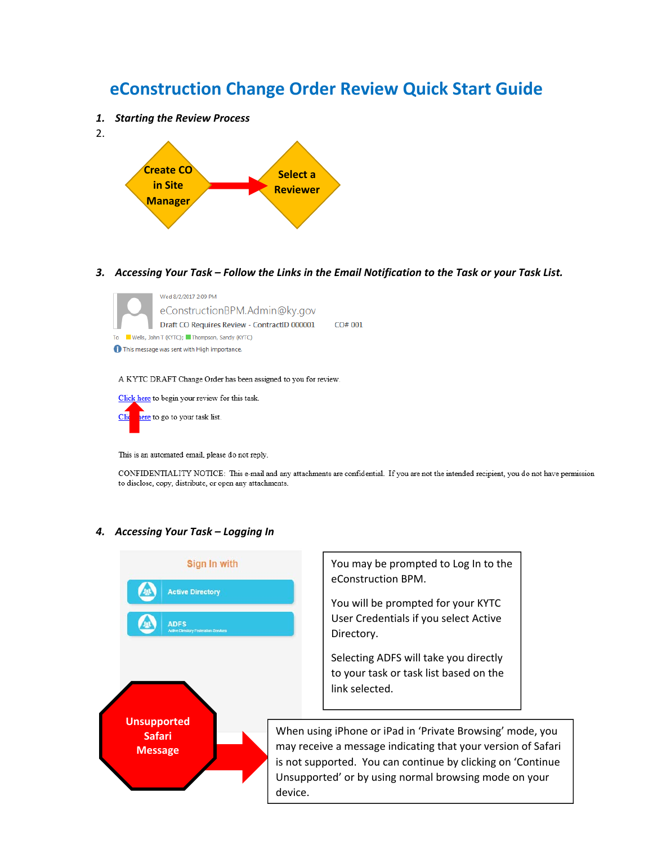# **eConstruction Change Order Review Quick Start Guide**

- *1. Starting the Review Process*
- 2.



3. Accessing Your Task - Follow the Links in the Email Notification to the Task or your Task List.



A KYTC DRAFT Change Order has been assigned to you for review.



This is an automated email, please do not reply.

CONFIDENTIALITY NOTICE: This e-mail and any attachments are confidential. If you are not the intended recipient, you do not have permission to disclose, copy, distribute, or open any attachments.

#### *4. Accessing Your Task – Logging In*

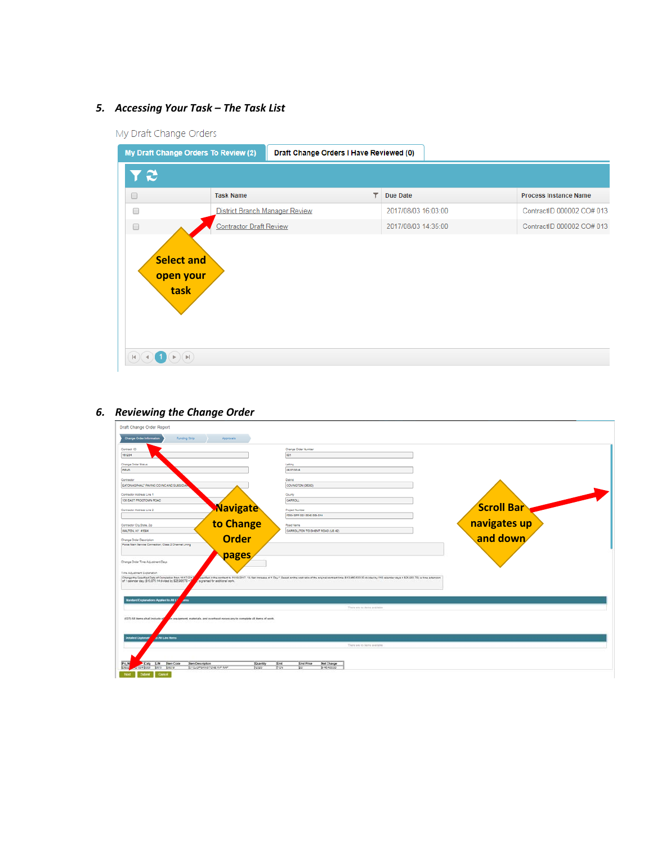# *5. Accessing Your Task – The Task List*

My Draft Change Orders

| My Draft Change Orders To Review (2)                                              |                                | Draft Change Orders I Have Reviewed (0) |                      |                              |
|-----------------------------------------------------------------------------------|--------------------------------|-----------------------------------------|----------------------|------------------------------|
| r æ                                                                               |                                |                                         |                      |                              |
| $\Box$                                                                            | <b>Task Name</b>               |                                         | ▼<br><b>Due Date</b> | <b>Process Instance Name</b> |
| $\Box$                                                                            | District Branch Manager Review |                                         | 2017/08/03 16:03:00  | ContractID 000002 CO# 013    |
| $\Box$                                                                            | <b>Contractor Draft Review</b> |                                         | 2017/08/03 14:35:00  | ContractID 000002 CO# 013    |
| Select and<br>open your<br>task<br>$\left\vert \nu \right\vert$<br>$ \mathbf{H} $ |                                |                                         |                      |                              |

| <b>Change Order Information</b><br>Funding Strip<br>Approvals                                                                                                                                              |                                          |                                                              |                                                                                                                                                                                                         |  |                   |  |
|------------------------------------------------------------------------------------------------------------------------------------------------------------------------------------------------------------|------------------------------------------|--------------------------------------------------------------|---------------------------------------------------------------------------------------------------------------------------------------------------------------------------------------------------------|--|-------------------|--|
| Contrast ID                                                                                                                                                                                                |                                          | Change Criter Number                                         |                                                                                                                                                                                                         |  |                   |  |
|                                                                                                                                                                                                            | OO1                                      |                                                              |                                                                                                                                                                                                         |  |                   |  |
| Change Order Status                                                                                                                                                                                        | Letting                                  |                                                              |                                                                                                                                                                                                         |  |                   |  |
|                                                                                                                                                                                                            |                                          | 05/27/2016                                                   |                                                                                                                                                                                                         |  |                   |  |
|                                                                                                                                                                                                            | <b>District</b>                          |                                                              |                                                                                                                                                                                                         |  |                   |  |
| EATON ASPHALT PAUNO CO INC AND SUBSIDIAL                                                                                                                                                                   |                                          | COVINGTON (06300)                                            |                                                                                                                                                                                                         |  |                   |  |
| Contractor Address Line 1                                                                                                                                                                                  | County                                   |                                                              |                                                                                                                                                                                                         |  |                   |  |
| 135 EAST FROGTOWN ROAD                                                                                                                                                                                     |                                          | CARROLL                                                      |                                                                                                                                                                                                         |  |                   |  |
| Contractor Address Line 2                                                                                                                                                                                  | <b>Navigate</b>                          | <b>Project Number</b>                                        |                                                                                                                                                                                                         |  | <b>Scroll Bar</b> |  |
|                                                                                                                                                                                                            |                                          | FD54 SPP 021 0042 009-014                                    |                                                                                                                                                                                                         |  |                   |  |
| Contractor City, State, Zio                                                                                                                                                                                | to Change                                | Road Name                                                    |                                                                                                                                                                                                         |  | navigates up      |  |
| WALTON, KY 41004                                                                                                                                                                                           |                                          | CARROLLTON TO GHENT ROAD (US 42)                             |                                                                                                                                                                                                         |  |                   |  |
| Change Order Description                                                                                                                                                                                   | <b>Order</b>                             |                                                              |                                                                                                                                                                                                         |  | and down          |  |
| Force Main Service Connection; Class 2 Channel Lining                                                                                                                                                      |                                          |                                                              |                                                                                                                                                                                                         |  |                   |  |
|                                                                                                                                                                                                            | pages                                    |                                                              |                                                                                                                                                                                                         |  |                   |  |
| Change Driler Time Adjustment Days<br>Time Adjustment Explanation                                                                                                                                          |                                          |                                                              |                                                                                                                                                                                                         |  |                   |  |
| Change the Specified Date of Completion from 11/17/2017<br>of 1 calendar day, (\$13,575.14 divided by \$25,955.75 = 2<br>is granted for additional work.                                                   |                                          |                                                              | oached in the contract to 11/15/2017. "A feat increase of 1 Day," Based on the cost ratio of the original contract link (\$13,480,633,00 divided by \$15 calendar days = \$25,003.7E); a time extension |  |                   |  |
|                                                                                                                                                                                                            |                                          |                                                              |                                                                                                                                                                                                         |  |                   |  |
| e.                                                                                                                                                                                                         |                                          |                                                              |                                                                                                                                                                                                         |  |                   |  |
|                                                                                                                                                                                                            |                                          |                                                              | There are no terms prehetes                                                                                                                                                                             |  |                   |  |
|                                                                                                                                                                                                            |                                          |                                                              |                                                                                                                                                                                                         |  |                   |  |
| in, equipment, materials, and overhead necessary to complete all items of work.                                                                                                                            |                                          |                                                              |                                                                                                                                                                                                         |  |                   |  |
|                                                                                                                                                                                                            |                                          |                                                              |                                                                                                                                                                                                         |  |                   |  |
| <b>O All Line forms</b>                                                                                                                                                                                    |                                          |                                                              |                                                                                                                                                                                                         |  |                   |  |
|                                                                                                                                                                                                            |                                          |                                                              | There we no learn available                                                                                                                                                                             |  |                   |  |
|                                                                                                                                                                                                            |                                          |                                                              |                                                                                                                                                                                                         |  |                   |  |
| Randard Explanations Applied to All U<br>(027) All items shall include ag<br><b>Detailed Explanaty</b><br>Earp E.N Jam Code<br>Item Description<br>sue boot losts losgre<br><b>STOLOPEAN STONE RIP RAP</b> | Duantity<br><b>Rival</b><br>Fow<br>12220 | <b>Unit Price</b><br><b>Biet Change</b><br>8-40-400.00<br>Þ. |                                                                                                                                                                                                         |  |                   |  |

## *6. Reviewing the Change Order*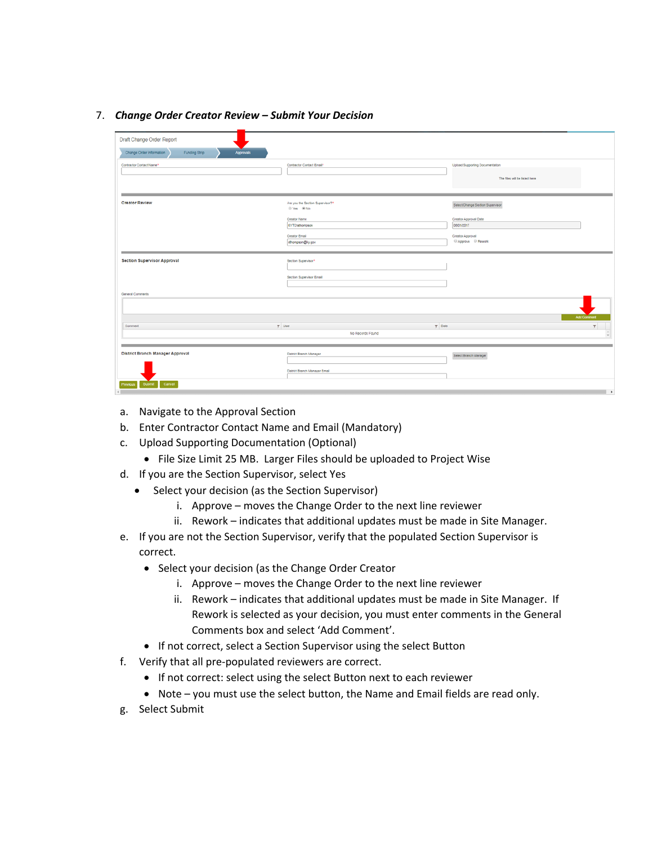#### 7. *Change Order Creator Review – Submit Your Decision*

| Draft Change Order Report                              |                                                |                                        |
|--------------------------------------------------------|------------------------------------------------|----------------------------------------|
| Change Order Information<br>Funding Strip<br>Approvals |                                                |                                        |
| Contractor Contact Name*                               | Contractor Contact Email*                      | Upload Supporting Documentation        |
|                                                        |                                                | The files will be listed here          |
|                                                        |                                                |                                        |
| <b>Creator Review</b>                                  | Are you the Section Supervisor?*<br>© Yes ® No | Select/Change Section Supervisor       |
|                                                        | Creator Name<br>KYTCIsthompson                 | Creator Approval Date<br>08/01/2017    |
|                                                        | Creator Email<br>sthompson@ky.gov              | Creator Approval<br>C Approve C Rework |
|                                                        |                                                |                                        |
| <b>Section Supervisor Approval</b>                     | Section Supervisor*                            |                                        |
|                                                        | Section Supervisor Email                       |                                        |
| <b>General Comments</b>                                |                                                |                                        |
|                                                        |                                                |                                        |
| $\Psi$ User<br>Comment                                 | $T$ Date                                       | Add Comment<br>$\mathbf{v}$            |
|                                                        | No Records Found                               | $\sim$                                 |
|                                                        |                                                |                                        |
| <b>District Branch Manager Approval</b>                | District Branch Manager                        | Select Branch Manager                  |
|                                                        | District Branch Manager Ernall                 |                                        |
| Cancel<br>Previous<br>Submit                           |                                                | $\overline{\phantom{a}}$               |

- a. Navigate to the Approval Section
- b. Enter Contractor Contact Name and Email (Mandatory)
- c. Upload Supporting Documentation (Optional)
	- File Size Limit 25 MB. Larger Files should be uploaded to Project Wise
- d. If you are the Section Supervisor, select Yes
	- Select your decision (as the Section Supervisor)
		- i. Approve moves the Change Order to the next line reviewer
		- ii. Rework indicates that additional updates must be made in Site Manager.
- e. If you are not the Section Supervisor, verify that the populated Section Supervisor is correct.
	- Select your decision (as the Change Order Creator
		- i. Approve moves the Change Order to the next line reviewer
		- ii. Rework indicates that additional updates must be made in Site Manager. If Rework is selected as your decision, you must enter comments in the General Comments box and select 'Add Comment'.
	- If not correct, select a Section Supervisor using the select Button
- f. Verify that all pre‐populated reviewers are correct.
	- If not correct: select using the select Button next to each reviewer
	- Note you must use the select button, the Name and Email fields are read only.
- g. Select Submit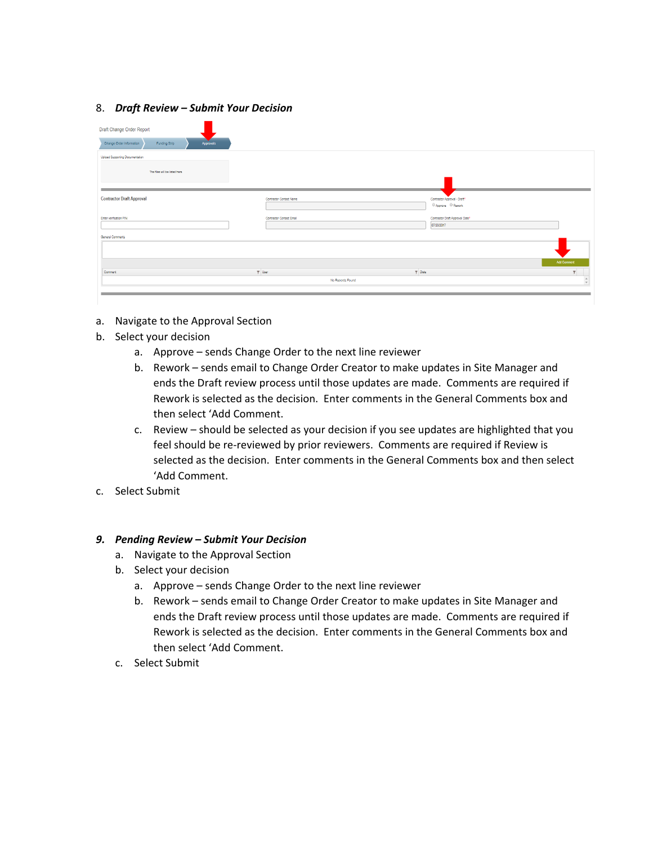#### 8. *Draft Review – Submit Your Decision*

| Draft Change Order Report                              |                          |                                                    |                                     |
|--------------------------------------------------------|--------------------------|----------------------------------------------------|-------------------------------------|
| Change Order Information<br>Funding Strip<br>Approvals |                          |                                                    |                                     |
| Upload Supporting Documentation                        |                          |                                                    |                                     |
| The files will be listed here                          |                          |                                                    |                                     |
|                                                        |                          |                                                    |                                     |
| <b>Contractor Draft Approval</b>                       | Contractor Contact Name  | Contractor Approval - Draft*<br>C Approve C Rework |                                     |
| Enter verification PIN                                 | Contractor Contact Email | Contractor Draft Approval Date*<br>07/20/2017      |                                     |
| General Comments                                       |                          |                                                    |                                     |
|                                                        |                          |                                                    |                                     |
|                                                        |                          |                                                    | <b>Add Comment</b>                  |
| Comment                                                | $\P$ User                | $T$ Date                                           |                                     |
|                                                        |                          | No Records Found                                   | $_{\rm v}^{\scriptscriptstyle \pm}$ |
|                                                        |                          |                                                    |                                     |

- a. Navigate to the Approval Section
- b. Select your decision
	- a. Approve sends Change Order to the next line reviewer
	- b. Rework sends email to Change Order Creator to make updates in Site Manager and ends the Draft review process until those updates are made. Comments are required if Rework is selected as the decision. Enter comments in the General Comments box and then select 'Add Comment.
	- c. Review should be selected as your decision if you see updates are highlighted that you feel should be re-reviewed by prior reviewers. Comments are required if Review is selected as the decision. Enter comments in the General Comments box and then select 'Add Comment.
- c. Select Submit

### *9. Pending Review – Submit Your Decision*

- a. Navigate to the Approval Section
- b. Select your decision
	- a. Approve sends Change Order to the next line reviewer
	- b. Rework sends email to Change Order Creator to make updates in Site Manager and ends the Draft review process until those updates are made. Comments are required if Rework is selected as the decision. Enter comments in the General Comments box and then select 'Add Comment.
- c. Select Submit